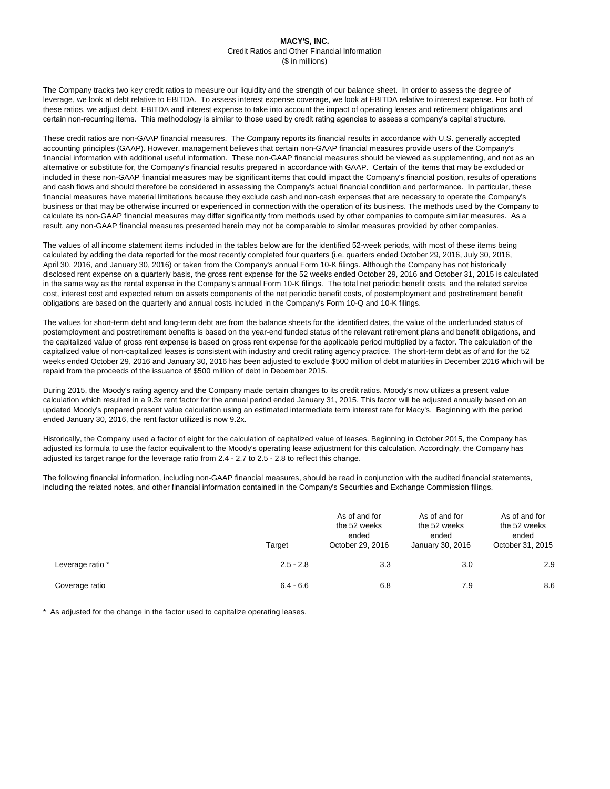The Company tracks two key credit ratios to measure our liquidity and the strength of our balance sheet. In order to assess the degree of leverage, we look at debt relative to EBITDA. To assess interest expense coverage, we look at EBITDA relative to interest expense. For both of these ratios, we adjust debt, EBITDA and interest expense to take into account the impact of operating leases and retirement obligations and certain non-recurring items. This methodology is similar to those used by credit rating agencies to assess a company's capital structure.

These credit ratios are non-GAAP financial measures. The Company reports its financial results in accordance with U.S. generally accepted accounting principles (GAAP). However, management believes that certain non-GAAP financial measures provide users of the Company's financial information with additional useful information. These non-GAAP financial measures should be viewed as supplementing, and not as an alternative or substitute for, the Company's financial results prepared in accordance with GAAP. Certain of the items that may be excluded or included in these non-GAAP financial measures may be significant items that could impact the Company's financial position, results of operations and cash flows and should therefore be considered in assessing the Company's actual financial condition and performance. In particular, these financial measures have material limitations because they exclude cash and non-cash expenses that are necessary to operate the Company's business or that may be otherwise incurred or experienced in connection with the operation of its business. The methods used by the Company to calculate its non-GAAP financial measures may differ significantly from methods used by other companies to compute similar measures. As a result, any non-GAAP financial measures presented herein may not be comparable to similar measures provided by other companies.

The values of all income statement items included in the tables below are for the identified 52-week periods, with most of these items being calculated by adding the data reported for the most recently completed four quarters (i.e. quarters ended October 29, 2016, July 30, 2016, April 30, 2016, and January 30, 2016) or taken from the Company's annual Form 10-K filings. Although the Company has not historically disclosed rent expense on a quarterly basis, the gross rent expense for the 52 weeks ended October 29, 2016 and October 31, 2015 is calculated in the same way as the rental expense in the Company's annual Form 10-K filings. The total net periodic benefit costs, and the related service cost, interest cost and expected return on assets components of the net periodic benefit costs, of postemployment and postretirement benefit obligations are based on the quarterly and annual costs included in the Company's Form 10-Q and 10-K filings.

The values for short-term debt and long-term debt are from the balance sheets for the identified dates, the value of the underfunded status of postemployment and postretirement benefits is based on the year-end funded status of the relevant retirement plans and benefit obligations, and the capitalized value of gross rent expense is based on gross rent expense for the applicable period multiplied by a factor. The calculation of the capitalized value of non-capitalized leases is consistent with industry and credit rating agency practice. The short-term debt as of and for the 52 weeks ended October 29, 2016 and January 30, 2016 has been adjusted to exclude \$500 million of debt maturities in December 2016 which will be repaid from the proceeds of the issuance of \$500 million of debt in December 2015.

During 2015, the Moody's rating agency and the Company made certain changes to its credit ratios. Moody's now utilizes a present value calculation which resulted in a 9.3x rent factor for the annual period ended January 31, 2015. This factor will be adjusted annually based on an updated Moody's prepared present value calculation using an estimated intermediate term interest rate for Macy's. Beginning with the period ended January 30, 2016, the rent factor utilized is now 9.2x.

Historically, the Company used a factor of eight for the calculation of capitalized value of leases. Beginning in October 2015, the Company has adjusted its formula to use the factor equivalent to the Moody's operating lease adjustment for this calculation. Accordingly, the Company has adjusted its target range for the leverage ratio from 2.4 - 2.7 to 2.5 - 2.8 to reflect this change.

The following financial information, including non-GAAP financial measures, should be read in conjunction with the audited financial statements, including the related notes, and other financial information contained in the Company's Securities and Exchange Commission filings.

|                  | Target      | As of and for<br>the 52 weeks<br>ended<br>October 29, 2016 | As of and for<br>the 52 weeks<br>ended<br>January 30, 2016 | As of and for<br>the 52 weeks<br>ended<br>October 31, 2015 |  |
|------------------|-------------|------------------------------------------------------------|------------------------------------------------------------|------------------------------------------------------------|--|
| Leverage ratio * | $2.5 - 2.8$ | 3.3                                                        | 3.0                                                        | 2.9                                                        |  |
| Coverage ratio   | $6.4 - 6.6$ | 6.8                                                        | 7.9                                                        | 8.6                                                        |  |

\* As adjusted for the change in the factor used to capitalize operating leases.

# **MACY'S, INC.** Credit Ratios and Other Financial Information (\$ in millions)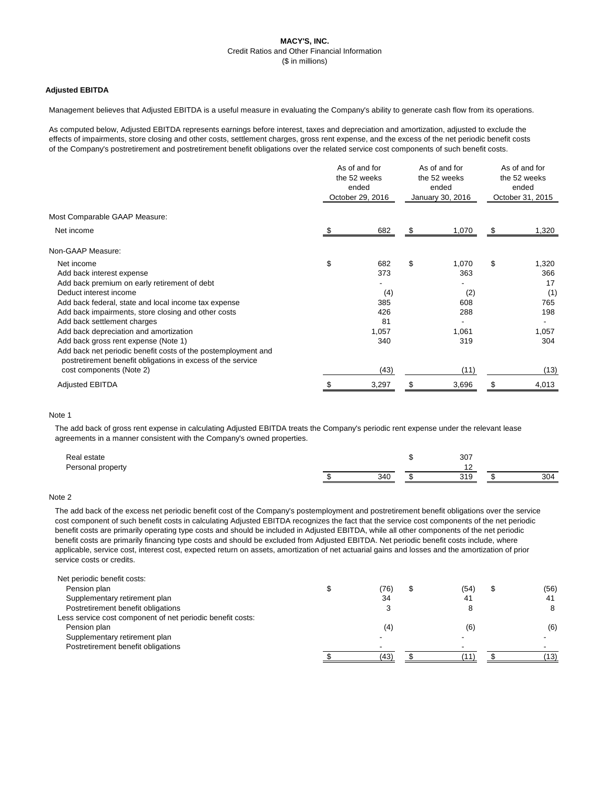# **MACY'S, INC.** Credit Ratios and Other Financial Information (\$ in millions)

## **Adjusted EBITDA**

Management believes that Adjusted EBITDA is a useful measure in evaluating the Company's ability to generate cash flow from its operations.

As computed below, Adjusted EBITDA represents earnings before interest, taxes and depreciation and amortization, adjusted to exclude the effects of impairments, store closing and other costs, settlement charges, gross rent expense, and the excess of the net periodic benefit costs of the Company's postretirement and postretirement benefit obligations over the related service cost components of such benefit costs.

|                                                                                                                              | As of and for<br>the 52 weeks<br>ended<br>October 29, 2016 |       | As of and for<br>the 52 weeks<br>ended<br>January 30, 2016 |       | As of and for<br>the 52 weeks<br>ended<br>October 31, 2015 |       |
|------------------------------------------------------------------------------------------------------------------------------|------------------------------------------------------------|-------|------------------------------------------------------------|-------|------------------------------------------------------------|-------|
| Most Comparable GAAP Measure:                                                                                                |                                                            |       |                                                            |       |                                                            |       |
| Net income                                                                                                                   |                                                            | 682   | S.                                                         | 1,070 | \$                                                         | 1,320 |
| Non-GAAP Measure:                                                                                                            |                                                            |       |                                                            |       |                                                            |       |
| Net income                                                                                                                   | \$                                                         | 682   | \$                                                         | 1,070 | \$                                                         | 1,320 |
| Add back interest expense                                                                                                    |                                                            | 373   |                                                            | 363   |                                                            | 366   |
| Add back premium on early retirement of debt                                                                                 |                                                            |       |                                                            |       |                                                            | 17    |
| Deduct interest income                                                                                                       |                                                            | (4)   |                                                            | (2)   |                                                            | (1)   |
| Add back federal, state and local income tax expense                                                                         |                                                            | 385   |                                                            | 608   |                                                            | 765   |
| Add back impairments, store closing and other costs                                                                          |                                                            | 426   |                                                            | 288   |                                                            | 198   |
| Add back settlement charges                                                                                                  |                                                            | 81    |                                                            |       |                                                            |       |
| Add back depreciation and amortization                                                                                       |                                                            | 1,057 |                                                            | 1,061 |                                                            | 1,057 |
| Add back gross rent expense (Note 1)                                                                                         |                                                            | 340   |                                                            | 319   |                                                            | 304   |
| Add back net periodic benefit costs of the postemployment and<br>postretirement benefit obligations in excess of the service |                                                            |       |                                                            |       |                                                            |       |
| cost components (Note 2)                                                                                                     |                                                            | (43)  |                                                            | (11)  |                                                            | (13)  |
| <b>Adjusted EBITDA</b>                                                                                                       |                                                            | 3,297 |                                                            | 3,696 |                                                            | 4,013 |

### Note 1

The add back of gross rent expense in calculating Adjusted EBITDA treats the Company's periodic rent expense under the relevant lease agreements in a manner consistent with the Company's owned properties.

| Real estate       |     | 307                  |            |
|-------------------|-----|----------------------|------------|
| Personal property |     |                      |            |
|                   | 340 | 310<br><u> 7 I J</u> | 4∩ב<br>◡◡┐ |

### Note 2

The add back of the excess net periodic benefit cost of the Company's postemployment and postretirement benefit obligations over the service cost component of such benefit costs in calculating Adjusted EBITDA recognizes the fact that the service cost components of the net periodic benefit costs are primarily operating type costs and should be included in Adjusted EBITDA, while all other components of the net periodic benefit costs are primarily financing type costs and should be excluded from Adjusted EBITDA. Net periodic benefit costs include, where applicable, service cost, interest cost, expected return on assets, amortization of net actuarial gains and losses and the amortization of prior service costs or credits.

| Net periodic benefit costs:                                |     |                |      |
|------------------------------------------------------------|-----|----------------|------|
| Pension plan                                               | 76) | (54)           | (56) |
| Supplementary retirement plan                              | 34  | 4 <sup>1</sup> | 41   |
| Postretirement benefit obligations                         |     |                |      |
| Less service cost component of net periodic benefit costs: |     |                |      |
| Pension plan                                               |     | (6)            | (6)  |

Supplementary retirement plan Postretirement benefit obligations

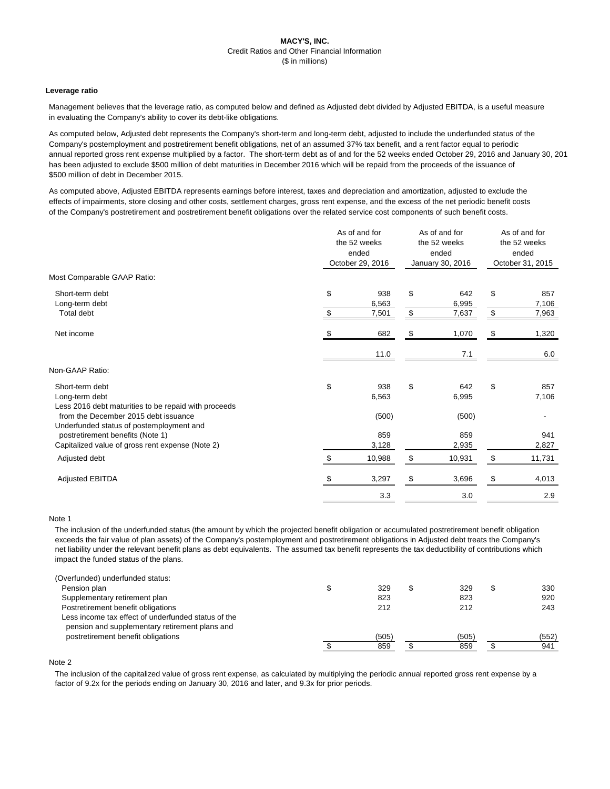# **MACY'S, INC.** Credit Ratios and Other Financial Information (\$ in millions)

### **Leverage ratio**

Management believes that the leverage ratio, as computed below and defined as Adjusted debt divided by Adjusted EBITDA, is a useful measure in evaluating the Company's ability to cover its debt-like obligations.

As computed below, Adjusted debt represents the Company's short-term and long-term debt, adjusted to include the underfunded status of the Company's postemployment and postretirement benefit obligations, net of an assumed 37% tax benefit, and a rent factor equal to periodic annual reported gross rent expense multiplied by a factor. The short-term debt as of and for the 52 weeks ended October 29, 2016 and January 30, 2016 has been adjusted to exclude \$500 million of debt maturities in December 2016 which will be repaid from the proceeds of the issuance of \$500 million of debt in December 2015.

As computed above, Adjusted EBITDA represents earnings before interest, taxes and depreciation and amortization, adjusted to exclude the effects of impairments, store closing and other costs, settlement charges, gross rent expense, and the excess of the net periodic benefit costs of the Company's postretirement and postretirement benefit obligations over the related service cost components of such benefit costs.

|                                                                                           |                                 | As of and for<br>the 52 weeks<br>ended<br>October 29, 2016 |          | As of and for<br>the 52 weeks<br>ended<br>January 30, 2016 |          | As of and for<br>the 52 weeks<br>ended<br>October 31, 2015 |  |
|-------------------------------------------------------------------------------------------|---------------------------------|------------------------------------------------------------|----------|------------------------------------------------------------|----------|------------------------------------------------------------|--|
| Most Comparable GAAP Ratio:                                                               |                                 |                                                            |          |                                                            |          |                                                            |  |
| Short-term debt<br>Long-term debt<br>Total debt                                           | \$<br>$\boldsymbol{\mathsf{S}}$ | 938<br>6,563<br>7,501                                      | \$<br>\$ | 642<br>6,995<br>7,637                                      | \$<br>\$ | 857<br>7,106<br>7,963                                      |  |
| Net income                                                                                | S.                              | 682                                                        | \$       | 1,070                                                      | \$       | 1,320                                                      |  |
|                                                                                           |                                 | 11.0                                                       |          | 7.1                                                        |          | 6.0                                                        |  |
| Non-GAAP Ratio:                                                                           |                                 |                                                            |          |                                                            |          |                                                            |  |
| Short-term debt<br>Long-term debt<br>Less 2016 debt maturities to be repaid with proceeds | \$                              | 938<br>6,563                                               | \$       | 642<br>6,995                                               | \$       | 857<br>7,106                                               |  |
| from the December 2015 debt issuance<br>Underfunded status of postemployment and          |                                 | (500)                                                      |          | (500)                                                      |          |                                                            |  |
| postretirement benefits (Note 1)<br>Capitalized value of gross rent expense (Note 2)      |                                 | 859<br>3,128                                               |          | 859<br>2,935                                               |          | 941<br>2,827                                               |  |
| Adjusted debt                                                                             | $\boldsymbol{\mathsf{S}}$       | 10,988                                                     | $\$\$    | 10,931                                                     | \$       | 11,731                                                     |  |
| <b>Adjusted EBITDA</b>                                                                    |                                 | 3,297                                                      | \$       | 3,696                                                      | \$       | 4,013                                                      |  |
|                                                                                           |                                 | 3.3                                                        |          | 3.0                                                        |          | 2.9                                                        |  |

#### Note 1

The inclusion of the underfunded status (the amount by which the projected benefit obligation or accumulated postretirement benefit obligation exceeds the fair value of plan assets) of the Company's postemployment and postretirement obligations in Adjusted debt treats the Company's net liability under the relevant benefit plans as debt equivalents. The assumed tax benefit represents the tax deductibility of contributions which impact the funded status of the plans.

| (Overfunded) underfunded status:                    |     |     |     |
|-----------------------------------------------------|-----|-----|-----|
| Pension plan                                        | 329 | 329 | 330 |
| Supplementary retirement plan                       | 823 | 823 | 920 |
| Postretirement benefit obligations                  | 212 | 212 | 243 |
| Less income tax effect of underfunded status of the |     |     |     |

pension and supplementary retirement plans and



#### Note 2

The inclusion of the capitalized value of gross rent expense, as calculated by multiplying the periodic annual reported gross rent expense by a factor of 9.2x for the periods ending on January 30, 2016 and later, and 9.3x for prior periods.